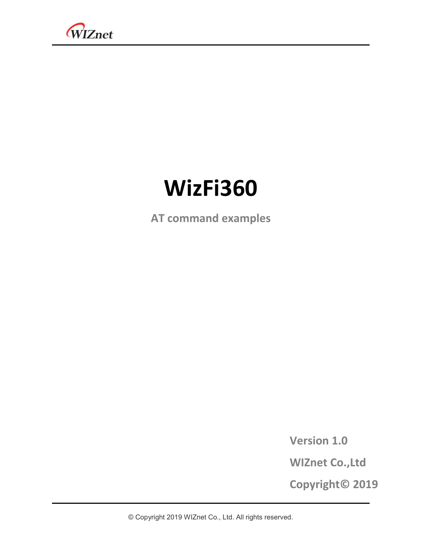

# **WizFi360**

**AT command examples**

**Version 1.0**

**WIZnet Co.,Ltd**

**Copyright© 2019**

© Copyright 2019 WIZnet Co., Ltd. All rights reserved.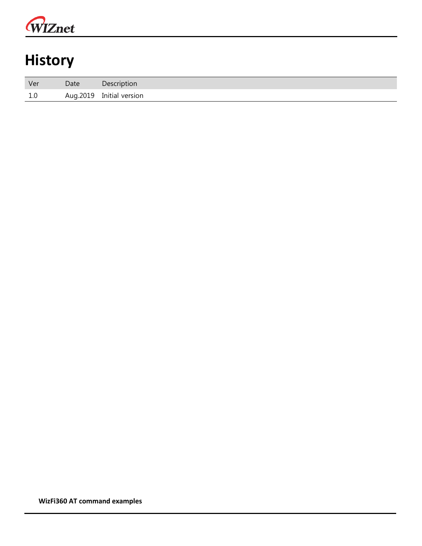

## **History**

| Ver | Date | Description              |
|-----|------|--------------------------|
| 1.0 |      | Aug.2019 Initial version |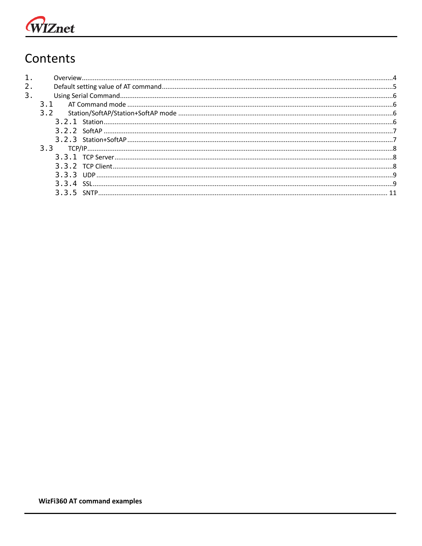# WIZnet

## Contents

| 1.             |     |  |
|----------------|-----|--|
| 2 <sub>1</sub> |     |  |
| 3.             |     |  |
|                | 31  |  |
|                | 3.2 |  |
|                |     |  |
|                |     |  |
|                |     |  |
|                |     |  |
|                |     |  |
|                |     |  |
|                |     |  |
|                |     |  |
|                |     |  |
|                |     |  |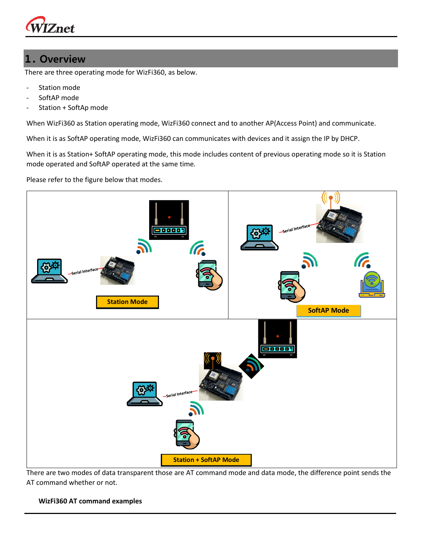

#### <span id="page-3-0"></span>**1. Overview**

There are three operating mode for WizFi360, as below.

- Station mode
- SoftAP mode
- Station + SoftAp mode

When WizFi360 as Station operating mode, WizFi360 connect and to another AP(Access Point) and communicate.

When it is as SoftAP operating mode, WizFi360 can communicates with devices and it assign the IP by DHCP.

When it is as Station+ SoftAP operating mode, this mode includes content of previous operating mode so it is Station mode operated and SoftAP operated at the same time.

Please refer to the figure below that modes.



There are two modes of data transparent those are AT command mode and data mode, the difference point sends the AT command whether or not.

#### **WizFi360 AT command examples**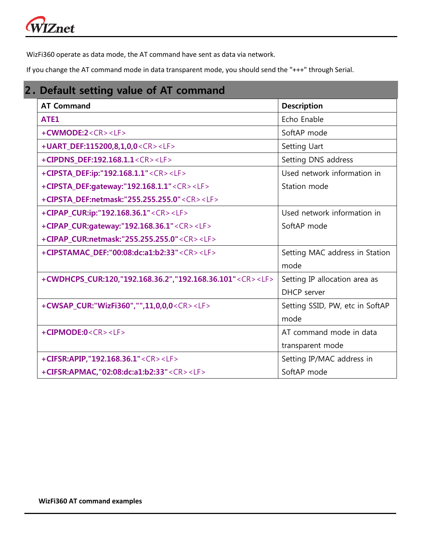# WIZnet

WizFi360 operate as data mode, the AT command have sent as data via network.

If you change the AT command mode in data transparent mode, you should send the "+++" through Serial.

<span id="page-4-0"></span>

| <b>AT Command</b>                                                   | <b>Description</b>              |
|---------------------------------------------------------------------|---------------------------------|
| ATE1                                                                | Echo Enable                     |
| $+$ CWMODE:2< $CR$ >< $LF$ >                                        | SoftAP mode                     |
| +UART DEF:115200,8,1,0,0 <cr><lf></lf></cr>                         | Setting Uart                    |
| +CIPDNS_DEF:192.168.1.1 <cr><lf></lf></cr>                          | Setting DNS address             |
| +CIPSTA_DEF:ip:"192.168.1.1" <cr><lf></lf></cr>                     | Used network information in     |
| +CIPSTA_DEF:gateway:"192.168.1.1" <cr><lf></lf></cr>                | Station mode                    |
| +CIPSTA_DEF:netmask:"255.255.255.0" <cr><lf></lf></cr>              |                                 |
| +CIPAP_CUR:ip:"192.168.36.1" <cr><lf></lf></cr>                     | Used network information in     |
| +CIPAP_CUR:gateway:"192.168.36.1" <cr><lf></lf></cr>                | SoftAP mode                     |
| +CIPAP_CUR:netmask:"255.255.255.0" <cr><lf></lf></cr>               |                                 |
| +CIPSTAMAC_DEF:"00:08:dc:a1:b2:33" <cr><lf></lf></cr>               | Setting MAC address in Station  |
|                                                                     | mode                            |
| +CWDHCPS_CUR:120,"192.168.36.2","192.168.36.101" <cr><lf></lf></cr> | Setting IP allocation area as   |
|                                                                     | DHCP server                     |
| +CWSAP_CUR:"WizFi360","",11,0,0,0 <cr><lf></lf></cr>                | Setting SSID, PW, etc in SoftAP |
|                                                                     | mode                            |
| +CIPMODE:0 <cr><lf></lf></cr>                                       | AT command mode in data         |
|                                                                     | transparent mode                |
| +CIFSR:APIP,"192.168.36.1" <cr><lf></lf></cr>                       | Setting IP/MAC address in       |
| +CIFSR:APMAC,"02:08:dc:a1:b2:33" <cr><lf></lf></cr>                 | SoftAP mode                     |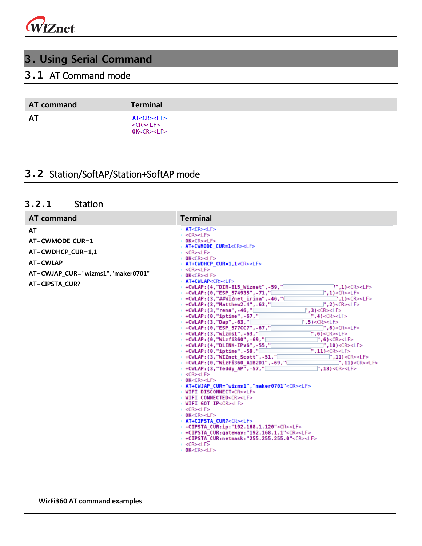

## <span id="page-5-0"></span>**3. Using Serial Command**

### <span id="page-5-1"></span>**3.1** AT Command mode

| AT command | <b>Terminal</b>                                             |
|------------|-------------------------------------------------------------|
| <b>AT</b>  | AT < CR > LF<br><cr><lf><br/>OK<cr><lf></lf></cr></lf></cr> |

### <span id="page-5-2"></span>**3.2** Station/SoftAP/Station+SoftAP mode

#### <span id="page-5-3"></span>**3.2.1** Station

| <b>AT command</b>                                                                                                    | <b>Terminal</b>                                                                                                                                                                                                                                                                                                                                                                                                                                                                                                                                                                                                                                                                                                                                                                                                                                                                                                                                                                                                                                                                                                                                                                                                                                                                                                                                                                                                                                                                                                                                                                                                                                                                                                                                                                                                                                                                                                                                                                                                                                                                                                                                                                                                                                                                                                                                                                                                                 |
|----------------------------------------------------------------------------------------------------------------------|---------------------------------------------------------------------------------------------------------------------------------------------------------------------------------------------------------------------------------------------------------------------------------------------------------------------------------------------------------------------------------------------------------------------------------------------------------------------------------------------------------------------------------------------------------------------------------------------------------------------------------------------------------------------------------------------------------------------------------------------------------------------------------------------------------------------------------------------------------------------------------------------------------------------------------------------------------------------------------------------------------------------------------------------------------------------------------------------------------------------------------------------------------------------------------------------------------------------------------------------------------------------------------------------------------------------------------------------------------------------------------------------------------------------------------------------------------------------------------------------------------------------------------------------------------------------------------------------------------------------------------------------------------------------------------------------------------------------------------------------------------------------------------------------------------------------------------------------------------------------------------------------------------------------------------------------------------------------------------------------------------------------------------------------------------------------------------------------------------------------------------------------------------------------------------------------------------------------------------------------------------------------------------------------------------------------------------------------------------------------------------------------------------------------------------|
| AT<br>AT+CWMODE CUR=1<br>AT+CWDHCP CUR=1,1<br>AT+CWLAP<br>AT+CWJAP CUR="wizms1","maker0701"<br><b>AT+CIPSTA CUR?</b> | AT <cr><lf><br/><math>&lt;</math>CR&gt;<math>&lt;</math>LF&gt;<br/>OK &lt; CR &gt; LF<br/>AT+CWMODE CUR=1<cr><lf><br/><math>&lt;</math>CR<math>&gt;</math><math>&lt;</math>LF<math>&gt;</math><br/>OK &lt; CR &gt; LF<br/>AT+CWDHCP_CUR=1,1<cr><lf><br/><math>&lt;</math>CR&gt;<math>&lt;</math>LF&gt;<br/>OK &lt; CR &gt; LF<br/>AT+CWLAP<cr><lf><br/>+CWLAP: (4, "DIR-815 Wiznet", -59, "<br/><math>1"</math>, 1)<cr><lf><br/>+CWLAP: (0, "ESP 574935", -71, "<br/><math>"</math>, 1)&lt;<math>CR</math>&gt;&lt;<math>LF</math>&gt;<br/>+CWLAP: (3, "##WIZnet irina", -46, "[<br/><math>\Box</math>, 1)<cr><lf><br/>+CWLAP: (3, "Matthew2.4", -63, "[<br/><math>"</math>, 2)&lt;<math>CR</math>&gt;&lt;<math>LF</math>&gt;<br/><math>\degree</math>, 3)<cr><lf><br/>+CWLAP:(3,"rena",-46,"<br/><math>+</math> CWLAP: (0, "iptime", -67, "<math>\Box</math><br/><math>\vert</math>", 4)&lt;<math>CR</math>&gt;&lt;<math>LF</math>&gt;<br/><math>"</math>.5)&lt;<math>CR</math>&gt;&lt;<math>LF</math>&gt;<br/>+CWLAP: (3, "Dap", -63, "<br/>+CWLAP:(0,"ESP 577CC7",-67,"<br/><math>\mathbb{T}</math>,6)<cr><lf><br/>", 6) &lt; CR &gt; LF &gt;<br/>+CWLAP:(3,"wizms1",-63,"[<br/>+CWLAP:(0,"Wizfi360",-69,"[<br/><math>\mid</math>,6)<cr><lf><br/>+CWLAP:(4,"DLINK-IPv6",-55,"<br/><math>T</math>,10)<cr><lf><br/><math>\sqrt{2}</math>, 11)<cr><lf><br/><math>+</math>CWLAP:(0,"iptime",-59,"<math>\Box</math><br/>+CWLAP:(3,"WIZnet Scott",-51,"<br/><math>\cdot</math>, 11)&lt;<math>CR</math>&gt;&lt;<math>LF</math>&gt;<br/>+CWLAP: (0, "WizFi360 A1B2D1", -69, "<br/><math>\cdot</math>, 11)<cr><lf><br/><math>\cdot</math> .13)<cr><lf><br/><math>+</math>CWLAP:(3,"Teddy AP",-57,"<math>\Box</math><br/><cr><lf><br/>OK &lt; CR &gt; LF<br/>AT+CWJAP CUR="wizms1","maker0701"<cr><lf><br/>WIFI DISCONNECT<cr><lf><br/>WIFI CONNECTED<cr><lf><br/>WIFI GOT IP<cr><lf><br/><cr><lf><br/>OK &lt; CR &gt; LF<br/>AT+CIPSTA CUR?<cr><lf><br/><math>+</math>CIPSTA CUR:ip:"192.168.1.120"<cr><lf><br/><math>+</math>CIPSTA CUR:gateway:"192.168.1.1"<cr><lf><br/>+CIPSTA CUR:netmask:"255.255.255.0"<cr><lf><br/><math>\leq</math>CR&gt;<math>\leq</math>LF&gt;<br/>OK &lt; CR &gt; LF</lf></cr></lf></cr></lf></cr></lf></cr></lf></cr></lf></cr></lf></cr></lf></cr></lf></cr></lf></cr></lf></cr></lf></cr></lf></cr></lf></cr></lf></cr></lf></cr></lf></cr></lf></cr></lf></cr></lf></cr></lf></cr></lf></cr></lf></cr> |
|                                                                                                                      |                                                                                                                                                                                                                                                                                                                                                                                                                                                                                                                                                                                                                                                                                                                                                                                                                                                                                                                                                                                                                                                                                                                                                                                                                                                                                                                                                                                                                                                                                                                                                                                                                                                                                                                                                                                                                                                                                                                                                                                                                                                                                                                                                                                                                                                                                                                                                                                                                                 |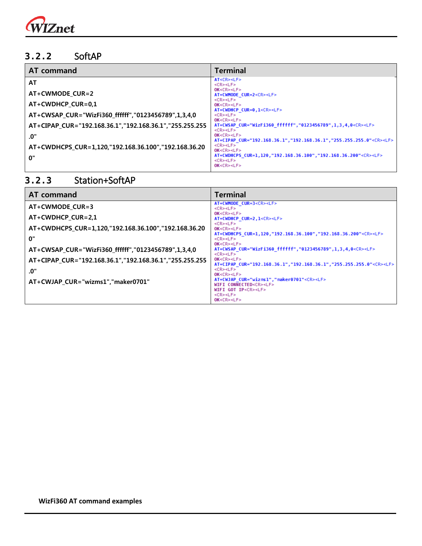

#### <span id="page-6-0"></span>**3.2.2** SoftAP

| AT command                                              | <b>Terminal</b>                                                                                                              |
|---------------------------------------------------------|------------------------------------------------------------------------------------------------------------------------------|
| AT                                                      | AT <cr><lf><br/><cr><lf></lf></cr></lf></cr>                                                                                 |
| AT+CWMODE_CUR=2                                         | OK < CR > LF<br>AT+CWMODE CUR=2 <cr><lf></lf></cr>                                                                           |
| AT+CWDHCP_CUR=0,1                                       | $<$ CR> $<$ LF><br>OK < CR > LF                                                                                              |
| AT+CWSAP CUR="WizFi360 ffffff","0123456789",1,3,4,0     | AT+CWDHCP CUR=0,1 <cr><lf><br/><cr><lf><br/>OK &lt; CR &gt; LF &gt;</lf></cr></lf></cr>                                      |
| AT+CIPAP_CUR="192.168.36.1","192.168.36.1","255.255.255 | AT+CWSAP CUR="WizFi360 ffffff","0123456789",1,3,4,0 <cr><lf><br/><cr><lf></lf></cr></lf></cr>                                |
| .0"                                                     | OK < CR > LF<br>AT+CIPAP CUR="192.168.36.1", "192.168.36.1", "255.255.255.0" <cr><lf></lf></cr>                              |
| AT+CWDHCPS_CUR=1,120,"192.168.36.100","192.168.36.20    | <cr><lf><br/>OK &lt; CR &gt; LF &gt;</lf></cr>                                                                               |
| 0"                                                      | AT+CWDHCPS CUR=1,120,"192.168.36.100","192.168.36.200" <cr><lf><br/><math>&lt;</math>CR&gt;<math>&lt;</math>LF&gt;</lf></cr> |
|                                                         | OK < CR > LF                                                                                                                 |

 $OK < CR > LF >$ 

<CR><LF>  $OK < CR > LF$ 

WIFI GOT IP<CR><LF>

AT+CWJAP\_CUR="wizms1","maker0701"<CR><LF><br>WIFI\_CONNECTED<CR><LF>

#### **AT command Terminal**  AT+CWMODE\_CUR=3<CR><LF><br><CR><LF> **AT+CWMODE\_CUR=3**  $OK < CR > LF$ **AT+CWDHCP\_CUR=2,1** AT+CWDHCP\_CUR=2,1<CR><LF> <CR><LF> **AT+CWDHCPS\_CUR=1,120,"192.168.36.100","192.168.36.20**  $OK < CR > LF$ AT+CWDHCPS\_CUR=1,120,"192.168.36.100","192.168.36.200"<CR><LF> **0"** <CR><LF>  $OK < CR > LF$ **AT+CWSAP\_CUR="WizFi360\_ffffff","0123456789",1,3,4,0** AT+CWSAP\_CUR="WizFi360\_ffffff","0123456789",1,3,4,0<CR><LF> <CR><LF>  $OK < CR > LF$ **AT+CIPAP\_CUR="192.168.36.1","192.168.36.1","255.255.255** AT+CIPAP\_CUR="192.168.36.1","192.168.36.1","255.255.255.0"<CR><LF> <CR><LF> **.0"**

#### <span id="page-6-1"></span>**3.2.3** Station+SoftAP

**AT+CWJAP\_CUR="wizms1","maker0701"**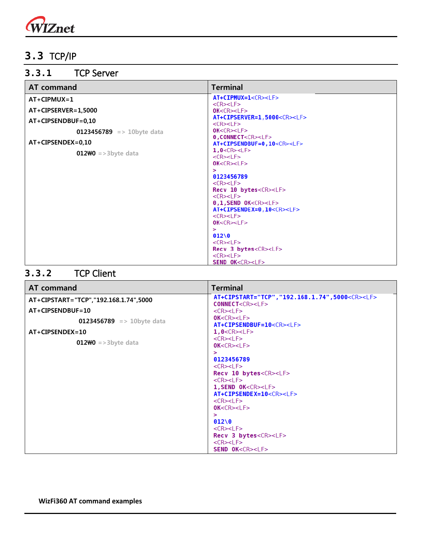

### <span id="page-7-0"></span>**3.3** TCP/IP

#### <span id="page-7-1"></span>**3.3.1** TCP Server

| AT command                       | <b>Terminal</b>                                                        |
|----------------------------------|------------------------------------------------------------------------|
| $AT+CIPMUX=1$                    | AT+CIPMUX=1 <cr><lf></lf></cr>                                         |
| AT+CIPSERVER=1,5000              | $<$ CR $>$ $<$ LF $>$<br>OK < CR > LF                                  |
|                                  | AT+CIPSERVER=1,5000 <cr><lf></lf></cr>                                 |
| $AT+CIPSENDBUF=0.10$             | $<$ CR> $<$ LF>                                                        |
| <b>0123456789</b> => 10byte data | OK < CR > LF                                                           |
| $AT+CIPSENDEX=0.10$              | 0, CONNECT <cr><lf><br/>AT+CIPSENDBUF=0,10<cr><lf></lf></cr></lf></cr> |
|                                  | 1,0 < CR > LF                                                          |
| $012W0$ =>3byte data             | $<$ CR $>$ $<$ LF $>$                                                  |
|                                  | OK < CR > LF                                                           |
|                                  | >                                                                      |
|                                  | 0123456789<br>$<$ CR> $<$ LF>                                          |
|                                  | Recv 10 bytes <cr><lf></lf></cr>                                       |
|                                  | $<$ CR $>$ $<$ LF $>$                                                  |
|                                  | $0,1$ , SEND $0K < CR > LF >$                                          |
|                                  | AT+CIPSENDEX=0,10 <cr><lf></lf></cr>                                   |
|                                  | $<$ CR> $<$ LF>                                                        |
|                                  | OK < CR > LF<br>$\geq$                                                 |
|                                  | 01200                                                                  |
|                                  | $<$ CR> $<$ LF>                                                        |
|                                  | Recv 3 bytes <cr><lf></lf></cr>                                        |
|                                  | $<$ CR $>$ $<$ LF $>$                                                  |
|                                  | SEND OK <cr><lf></lf></cr>                                             |

#### <span id="page-7-2"></span>**3.3.2** TCP Client

| <b>AT</b> command                     | <b>Terminal</b>                                                                                                                                                                                                                                                                                                                                                                                                                       |  |
|---------------------------------------|---------------------------------------------------------------------------------------------------------------------------------------------------------------------------------------------------------------------------------------------------------------------------------------------------------------------------------------------------------------------------------------------------------------------------------------|--|
| AT+CIPSTART="TCP","192.168.1.74",5000 | AT+CIPSTART="TCP", "192.168.1.74", 5000 <cr><lf><br/>CONNECT<cr><lf></lf></cr></lf></cr>                                                                                                                                                                                                                                                                                                                                              |  |
| $AT+CIPSENDBUF=10$                    | $<$ CR $>$ $<$ LF $>$                                                                                                                                                                                                                                                                                                                                                                                                                 |  |
| <b>0123456789</b> => 10byte data      | OK < CR > LF<br>AT+CIPSENDBUF=10 <cr><lf></lf></cr>                                                                                                                                                                                                                                                                                                                                                                                   |  |
| $AT+CIPSENDEX=10$                     | 1,0 < CR > LF                                                                                                                                                                                                                                                                                                                                                                                                                         |  |
| $012W0$ =>3byte data                  | $<$ CR> $<$ LF><br>OK < CR > LF                                                                                                                                                                                                                                                                                                                                                                                                       |  |
|                                       | $\geq$<br>0123456789<br>$<$ CR $>$ $<$ LF $>$<br>Recv 10 bytes <cr><lf><br/><math>&lt;</math>CR<math>&gt;</math><math>&lt;</math>LF<math>&gt;</math><br/>1, SEND OK<cr><lf><br/>AT+CIPSENDEX=10<cr><lf><br/><math>&lt;</math>CR&gt;<math>&lt;</math>LF&gt;<br/>OK &lt; CR &gt; LF<br/><math>\geq</math><br/>01200<br/><math>&lt;</math>CR&gt;<math>&lt;</math>LF&gt;<br/>Recv 3 bytes<cr><lf></lf></cr></lf></cr></lf></cr></lf></cr> |  |
|                                       | $<$ CR $>$ $<$ LF $>$<br>SEND OK <cr><lf></lf></cr>                                                                                                                                                                                                                                                                                                                                                                                   |  |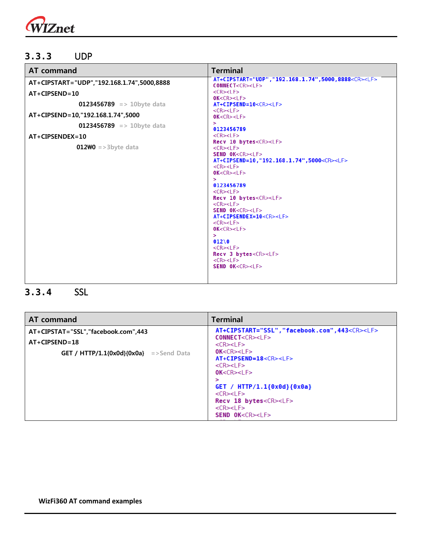

#### <span id="page-8-0"></span>**3.3.3** UDP

| <b>AT command</b>                          | <b>Terminal</b>                                                                                                                                                                                                                                                                                                                                                                                                                                                                                                                                                                                                                                                                                                                                                                                                                               |  |
|--------------------------------------------|-----------------------------------------------------------------------------------------------------------------------------------------------------------------------------------------------------------------------------------------------------------------------------------------------------------------------------------------------------------------------------------------------------------------------------------------------------------------------------------------------------------------------------------------------------------------------------------------------------------------------------------------------------------------------------------------------------------------------------------------------------------------------------------------------------------------------------------------------|--|
| AT+CIPSTART="UDP","192.168.1.74",5000,8888 | AT+CIPSTART="UDP", "192.168.1.74", 5000, 8888 <cr><lf><br/>CONNECT<cr><lf></lf></cr></lf></cr>                                                                                                                                                                                                                                                                                                                                                                                                                                                                                                                                                                                                                                                                                                                                                |  |
| $AT+CIPSEND=10$                            | $<$ CR> $<$ LF><br>OK < CR > LF                                                                                                                                                                                                                                                                                                                                                                                                                                                                                                                                                                                                                                                                                                                                                                                                               |  |
| <b>0123456789</b> => 10byte data           | AT+CIPSEND=10 <cr><lf></lf></cr>                                                                                                                                                                                                                                                                                                                                                                                                                                                                                                                                                                                                                                                                                                                                                                                                              |  |
| AT+CIPSEND=10, "192.168.1.74", 5000        | $<$ CR> $<$ LF><br>OK < CR > LF                                                                                                                                                                                                                                                                                                                                                                                                                                                                                                                                                                                                                                                                                                                                                                                                               |  |
| 0123456789 => 10byte data                  | $\geq$<br>0123456789                                                                                                                                                                                                                                                                                                                                                                                                                                                                                                                                                                                                                                                                                                                                                                                                                          |  |
| $AT+CIPSENDEX=10$                          | $<$ CR> $<$ LF>                                                                                                                                                                                                                                                                                                                                                                                                                                                                                                                                                                                                                                                                                                                                                                                                                               |  |
| <b>012\0</b> = > 3byte data                | Recv 10 bytes <cr><lf><br/><math>&lt;</math>CR&gt;<math>&lt;</math>LF&gt;<br/>SEND OK<cr><lf><br/>AT+CIPSEND=10, "192.168.1.74", 5000<cr><lf><br/><math>&lt;</math>CR<math>&gt;</math><math>&lt;</math>LF<math>&gt;</math><br/>OK &lt; CR &gt; LF<br/><math>\geq</math><br/>0123456789<br/><math>&lt;</math>CR&gt;<math>&lt;</math>LF&gt;<br/>Recv 10 bytes<cr><lf><br/><math>&lt;</math>CR&gt;<math>&lt;</math>LF&gt;<br/>SEND OK<cr><lf><br/>AT+CIPSENDEX=10<cr><lf><br/><math>&lt;</math>CR<math>&gt;</math><math>&lt;</math>LF<math>&gt;</math><br/>OK &lt; CR &gt; LF<br/><math>\geq</math><br/>01200<br/><math>&lt;</math>CR&gt;<math>&lt;</math>LF&gt;<br/>Recv 3 bytes<cr><lf><br/><math>&lt;</math>CR&gt;<math>&lt;</math>LF&gt;<br/>SEND OK<cr><lf></lf></cr></lf></cr></lf></cr></lf></cr></lf></cr></lf></cr></lf></cr></lf></cr> |  |

### <span id="page-8-1"></span>**3.3.4** SSL

|                                               | <b>Terminal</b>                                                                                                                                                                                                                                                                                                                                             |  |
|-----------------------------------------------|-------------------------------------------------------------------------------------------------------------------------------------------------------------------------------------------------------------------------------------------------------------------------------------------------------------------------------------------------------------|--|
| AT+CIPSTAT="SSL","facebook.com",443           | AT+CIPSTART="SSL","facebook.com",443 <cr><lf><br/>CONNECT<cr><lf></lf></cr></lf></cr>                                                                                                                                                                                                                                                                       |  |
| $AT+CIPSEND=18$                               | $<$ CR $>$ $<$ LF $>$                                                                                                                                                                                                                                                                                                                                       |  |
| <b>GET</b> / HTTP/1.1{0x0d}{0x0a} =>Send Data | OK < CR > LF<br>AT+CIPSEND=18 <cr><lf><br/><math>&lt;</math>CR&gt;<math>&lt;</math>LF&gt;<br/>OK &lt; CR &gt; LF<br/>⋗<br/>GET / <math>HTTP/1.1{0x0d}{0x0a}</math><br/><math>&lt;</math>CR&gt;<math>&lt;</math>LF&gt;<br/>Recv 18 bytes<cr><lf><br/><math>&lt;</math>CR&gt;<math>&lt;</math>LF&gt;<br/><b>SEND OK<cr><lf></lf></cr></b></lf></cr></lf></cr> |  |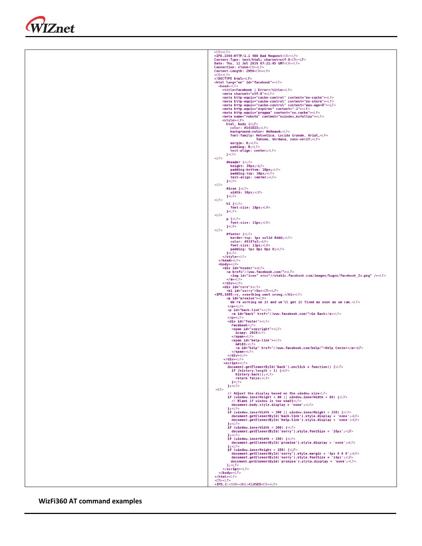| <cr><lf></lf></cr>                                                                                                                                                                                                                                                                                                                                                                                                                                                                                                                                                                                                                                                                                                                                                                                                                                                                                                                                                                                                                                                                                                                                                                                                                                                                                                                                                                                                                                                                                                                                                                                                                                                                                                                                                                                                                                                    |
|-----------------------------------------------------------------------------------------------------------------------------------------------------------------------------------------------------------------------------------------------------------------------------------------------------------------------------------------------------------------------------------------------------------------------------------------------------------------------------------------------------------------------------------------------------------------------------------------------------------------------------------------------------------------------------------------------------------------------------------------------------------------------------------------------------------------------------------------------------------------------------------------------------------------------------------------------------------------------------------------------------------------------------------------------------------------------------------------------------------------------------------------------------------------------------------------------------------------------------------------------------------------------------------------------------------------------------------------------------------------------------------------------------------------------------------------------------------------------------------------------------------------------------------------------------------------------------------------------------------------------------------------------------------------------------------------------------------------------------------------------------------------------------------------------------------------------------------------------------------------------|
| +IPD, 1500:HTTP/1.1 400 Bad Request <cr><lf></lf></cr>                                                                                                                                                                                                                                                                                                                                                                                                                                                                                                                                                                                                                                                                                                                                                                                                                                                                                                                                                                                                                                                                                                                                                                                                                                                                                                                                                                                                                                                                                                                                                                                                                                                                                                                                                                                                                |
| Content-Type: text/html; charset=utf-8 <cr><lf></lf></cr>                                                                                                                                                                                                                                                                                                                                                                                                                                                                                                                                                                                                                                                                                                                                                                                                                                                                                                                                                                                                                                                                                                                                                                                                                                                                                                                                                                                                                                                                                                                                                                                                                                                                                                                                                                                                             |
| Date: Thu, 11 Jul 2019 07:21:45 GMT <cr><lf><br/>Connection: close<cr><lf></lf></cr></lf></cr>                                                                                                                                                                                                                                                                                                                                                                                                                                                                                                                                                                                                                                                                                                                                                                                                                                                                                                                                                                                                                                                                                                                                                                                                                                                                                                                                                                                                                                                                                                                                                                                                                                                                                                                                                                        |
| Content-Length: 2959 <cr><lf></lf></cr>                                                                                                                                                                                                                                                                                                                                                                                                                                                                                                                                                                                                                                                                                                                                                                                                                                                                                                                                                                                                                                                                                                                                                                                                                                                                                                                                                                                                                                                                                                                                                                                                                                                                                                                                                                                                                               |
| $<$ CR> $<$ LF>                                                                                                                                                                                                                                                                                                                                                                                                                                                                                                                                                                                                                                                                                                                                                                                                                                                                                                                                                                                                                                                                                                                                                                                                                                                                                                                                                                                                                                                                                                                                                                                                                                                                                                                                                                                                                                                       |
| html <lf></lf>                                                                                                                                                                                                                                                                                                                                                                                                                                                                                                                                                                                                                                                                                                                                                                                                                                                                                                                                                                                                                                                                                                                                                                                                                                                                                                                                                                                                                                                                                                                                                                                                                                                                                                                                                                                                                                                        |
| <html id="facebook" lang="en"><lf></lf></html>                                                                                                                                                                                                                                                                                                                                                                                                                                                                                                                                                                                                                                                                                                                                                                                                                                                                                                                                                                                                                                                                                                                                                                                                                                                                                                                                                                                                                                                                                                                                                                                                                                                                                                                                                                                                                        |
| <head><lf></lf></head>                                                                                                                                                                                                                                                                                                                                                                                                                                                                                                                                                                                                                                                                                                                                                                                                                                                                                                                                                                                                                                                                                                                                                                                                                                                                                                                                                                                                                                                                                                                                                                                                                                                                                                                                                                                                                                                |
| <title>Facebook   Error</title> <lf></lf>                                                                                                                                                                                                                                                                                                                                                                                                                                                                                                                                                                                                                                                                                                                                                                                                                                                                                                                                                                                                                                                                                                                                                                                                                                                                                                                                                                                                                                                                                                                                                                                                                                                                                                                                                                                                                             |
| <meta charset="utf-8"/> <lf></lf>                                                                                                                                                                                                                                                                                                                                                                                                                                                                                                                                                                                                                                                                                                                                                                                                                                                                                                                                                                                                                                                                                                                                                                                                                                                                                                                                                                                                                                                                                                                                                                                                                                                                                                                                                                                                                                     |
| <meta content="no-cache" http-equiv="cache-control"/> <lf></lf>                                                                                                                                                                                                                                                                                                                                                                                                                                                                                                                                                                                                                                                                                                                                                                                                                                                                                                                                                                                                                                                                                                                                                                                                                                                                                                                                                                                                                                                                                                                                                                                                                                                                                                                                                                                                       |
| <meta content="no-store" http-equiv="cache-control"/> <lf></lf>                                                                                                                                                                                                                                                                                                                                                                                                                                                                                                                                                                                                                                                                                                                                                                                                                                                                                                                                                                                                                                                                                                                                                                                                                                                                                                                                                                                                                                                                                                                                                                                                                                                                                                                                                                                                       |
| <meta content="max-age=0" http-equiv="cache-control"/> <lf></lf>                                                                                                                                                                                                                                                                                                                                                                                                                                                                                                                                                                                                                                                                                                                                                                                                                                                                                                                                                                                                                                                                                                                                                                                                                                                                                                                                                                                                                                                                                                                                                                                                                                                                                                                                                                                                      |
| <meta content="-1" http-equiv="expires"/> <lf></lf>                                                                                                                                                                                                                                                                                                                                                                                                                                                                                                                                                                                                                                                                                                                                                                                                                                                                                                                                                                                                                                                                                                                                                                                                                                                                                                                                                                                                                                                                                                                                                                                                                                                                                                                                                                                                                   |
| <meta content="no-cache" http-equiv="pragma"/> <lf></lf>                                                                                                                                                                                                                                                                                                                                                                                                                                                                                                                                                                                                                                                                                                                                                                                                                                                                                                                                                                                                                                                                                                                                                                                                                                                                                                                                                                                                                                                                                                                                                                                                                                                                                                                                                                                                              |
| <meta content="noindex,nofollow" name="robots"/> <lf></lf>                                                                                                                                                                                                                                                                                                                                                                                                                                                                                                                                                                                                                                                                                                                                                                                                                                                                                                                                                                                                                                                                                                                                                                                                                                                                                                                                                                                                                                                                                                                                                                                                                                                                                                                                                                                                            |
| <style><LF></th></tr><tr><th>html, body {<LF></th></tr><tr><th>color: #141823;<LF></th></tr><tr><th>background-color: #e9eaed;<LF></th></tr><tr><th>font-family: Helvetica, Lucida Grande, Arial,<LF></th></tr><tr><th>Tahoma, Verdana, sans-serif;<LF></th></tr><tr><th>margin: 0; <b>LF</b><br>padding: 0; <b>LF</b></th></tr><tr><th></th></tr><tr><th>text-align: center;<LF></th></tr><tr><th><math>\left\{\text{cLF}\right\}</math><br><math><</math>LF></th></tr><tr><th></th></tr><tr><th>#header {<LF></th></tr><tr><th>height: 30px; <b>LE</b><br>padding-bottom: 10px;<LF></th></tr><tr><th></th></tr><tr><th>padding-top: 10px; <LF></th></tr><tr><th>text-align: center;<LF></th></tr><tr><th><math>\left\{\text{LFS}\right\}</math><br><math><</math>LF></th></tr><tr><th></th></tr><tr><th>#icon {<LF></th></tr><tr><th>width: <math>30px; LE</math></th></tr><tr><th><math>\left\{\text{<} \text{LF} \right\}</math></th></tr><tr><th><math><</math>LF></th></tr><tr><th><math>h1</math> {<LF></th></tr><tr><th>font-size: <math>18px; LE</math></th></tr><tr><th><math>\left\}</math> < LF></th></tr><tr><th><math><</math>LF></th></tr><tr><th><math>p \left\{{\text{ll}} \right\}</math></th></tr><tr><th>font-size: 13px;<LF></th></tr><tr><th><math>\left\{\text{cLF}\right\}</math><br><math><</math>LF></th></tr><tr><th></th></tr><tr><th>#footer {<LF></th></tr><tr><th>border-top: 1px solid #ddd;<LF></th></tr><tr><th>color: #9197a3;<LF></th></tr><tr><th>font-size: <math>12px; LE</math></th></tr><tr><th>padding: 5px 8px 6px 0;<LF></th></tr><tr><th><math>\left\{\text{cF}\right\}</math><br></style> <lf></lf>                                                                                                                                                                                                                     |
| $<$ /head> $<$ LF>                                                                                                                                                                                                                                                                                                                                                                                                                                                                                                                                                                                                                                                                                                                                                                                                                                                                                                                                                                                                                                                                                                                                                                                                                                                                                                                                                                                                                                                                                                                                                                                                                                                                                                                                                                                                                                                    |
|                                                                                                                                                                                                                                                                                                                                                                                                                                                                                                                                                                                                                                                                                                                                                                                                                                                                                                                                                                                                                                                                                                                                                                                                                                                                                                                                                                                                                                                                                                                                                                                                                                                                                                                                                                                                                                                                       |
| <body><lf></lf></body>                                                                                                                                                                                                                                                                                                                                                                                                                                                                                                                                                                                                                                                                                                                                                                                                                                                                                                                                                                                                                                                                                                                                                                                                                                                                                                                                                                                                                                                                                                                                                                                                                                                                                                                                                                                                                                                |
| <div id="header"><lf></lf></div>                                                                                                                                                                                                                                                                                                                                                                                                                                                                                                                                                                                                                                                                                                                                                                                                                                                                                                                                                                                                                                                                                                                                                                                                                                                                                                                                                                                                                                                                                                                                                                                                                                                                                                                                                                                                                                      |
| <a href="//www.facebook.com/"><lf><br/><img id="icon" src="//static.facebook.com/images/logos/facebook_2x.png"/><lf></lf></lf></a>                                                                                                                                                                                                                                                                                                                                                                                                                                                                                                                                                                                                                                                                                                                                                                                                                                                                                                                                                                                                                                                                                                                                                                                                                                                                                                                                                                                                                                                                                                                                                                                                                                                                                                                                    |
|                                                                                                                                                                                                                                                                                                                                                                                                                                                                                                                                                                                                                                                                                                                                                                                                                                                                                                                                                                                                                                                                                                                                                                                                                                                                                                                                                                                                                                                                                                                                                                                                                                                                                                                                                                                                                                                                       |
| <lf></lf>                                                                                                                                                                                                                                                                                                                                                                                                                                                                                                                                                                                                                                                                                                                                                                                                                                                                                                                                                                                                                                                                                                                                                                                                                                                                                                                                                                                                                                                                                                                                                                                                                                                                                                                                                                                                                                                             |
| $<$ /div> < $L$ F>                                                                                                                                                                                                                                                                                                                                                                                                                                                                                                                                                                                                                                                                                                                                                                                                                                                                                                                                                                                                                                                                                                                                                                                                                                                                                                                                                                                                                                                                                                                                                                                                                                                                                                                                                                                                                                                    |
| <div id="core"><lf></lf></div>                                                                                                                                                                                                                                                                                                                                                                                                                                                                                                                                                                                                                                                                                                                                                                                                                                                                                                                                                                                                                                                                                                                                                                                                                                                                                                                                                                                                                                                                                                                                                                                                                                                                                                                                                                                                                                        |
| <h1 id="sorry">Sor<cr><lf></lf></cr></h1>                                                                                                                                                                                                                                                                                                                                                                                                                                                                                                                                                                                                                                                                                                                                                                                                                                                                                                                                                                                                                                                                                                                                                                                                                                                                                                                                                                                                                                                                                                                                                                                                                                                                                                                                                                                                                             |
| +IPD, 1605: ry, something went wrong. <lf></lf>                                                                                                                                                                                                                                                                                                                                                                                                                                                                                                                                                                                                                                                                                                                                                                                                                                                                                                                                                                                                                                                                                                                                                                                                                                                                                                                                                                                                                                                                                                                                                                                                                                                                                                                                                                                                                       |
| <p id="promise"><lf></lf></p>                                                                                                                                                                                                                                                                                                                                                                                                                                                                                                                                                                                                                                                                                                                                                                                                                                                                                                                                                                                                                                                                                                                                                                                                                                                                                                                                                                                                                                                                                                                                                                                                                                                                                                                                                                                                                                         |
| We're working on it and we'll get it fixed as soon as we can. <lf></lf>                                                                                                                                                                                                                                                                                                                                                                                                                                                                                                                                                                                                                                                                                                                                                                                                                                                                                                                                                                                                                                                                                                                                                                                                                                                                                                                                                                                                                                                                                                                                                                                                                                                                                                                                                                                               |
| $<$ /p> $<$ LF>                                                                                                                                                                                                                                                                                                                                                                                                                                                                                                                                                                                                                                                                                                                                                                                                                                                                                                                                                                                                                                                                                                                                                                                                                                                                                                                                                                                                                                                                                                                                                                                                                                                                                                                                                                                                                                                       |
| <p id="back-link"><lf></lf></p>                                                                                                                                                                                                                                                                                                                                                                                                                                                                                                                                                                                                                                                                                                                                                                                                                                                                                                                                                                                                                                                                                                                                                                                                                                                                                                                                                                                                                                                                                                                                                                                                                                                                                                                                                                                                                                       |
| <a href="//www.facebook.com/" id="back">Go Back</a> <lf></lf>                                                                                                                                                                                                                                                                                                                                                                                                                                                                                                                                                                                                                                                                                                                                                                                                                                                                                                                                                                                                                                                                                                                                                                                                                                                                                                                                                                                                                                                                                                                                                                                                                                                                                                                                                                                                         |
| $<$ /p> $<$ LF>                                                                                                                                                                                                                                                                                                                                                                                                                                                                                                                                                                                                                                                                                                                                                                                                                                                                                                                                                                                                                                                                                                                                                                                                                                                                                                                                                                                                                                                                                                                                                                                                                                                                                                                                                                                                                                                       |
| <div id="footer"><lf></lf></div>                                                                                                                                                                                                                                                                                                                                                                                                                                                                                                                                                                                                                                                                                                                                                                                                                                                                                                                                                                                                                                                                                                                                                                                                                                                                                                                                                                                                                                                                                                                                                                                                                                                                                                                                                                                                                                      |
| Facebook <lf></lf>                                                                                                                                                                                                                                                                                                                                                                                                                                                                                                                                                                                                                                                                                                                                                                                                                                                                                                                                                                                                                                                                                                                                                                                                                                                                                                                                                                                                                                                                                                                                                                                                                                                                                                                                                                                                                                                    |
| <span id="copyright"><lf><br/>© 2019<lf></lf></lf></span>                                                                                                                                                                                                                                                                                                                                                                                                                                                                                                                                                                                                                                                                                                                                                                                                                                                                                                                                                                                                                                                                                                                                                                                                                                                                                                                                                                                                                                                                                                                                                                                                                                                                                                                                                                                                             |
| <lf></lf>                                                                                                                                                                                                                                                                                                                                                                                                                                                                                                                                                                                                                                                                                                                                                                                                                                                                                                                                                                                                                                                                                                                                                                                                                                                                                                                                                                                                                                                                                                                                                                                                                                                                                                                                                                                                                                                             |
| <span id="help-link"><lf></lf></span>                                                                                                                                                                                                                                                                                                                                                                                                                                                                                                                                                                                                                                                                                                                                                                                                                                                                                                                                                                                                                                                                                                                                                                                                                                                                                                                                                                                                                                                                                                                                                                                                                                                                                                                                                                                                                                 |
| $·$ < LF>                                                                                                                                                                                                                                                                                                                                                                                                                                                                                                                                                                                                                                                                                                                                                                                                                                                                                                                                                                                                                                                                                                                                                                                                                                                                                                                                                                                                                                                                                                                                                                                                                                                                                                                                                                                                                                                             |
| <a href="//www.facebook.com/help/" id="help">Help Center</a> <lf></lf>                                                                                                                                                                                                                                                                                                                                                                                                                                                                                                                                                                                                                                                                                                                                                                                                                                                                                                                                                                                                                                                                                                                                                                                                                                                                                                                                                                                                                                                                                                                                                                                                                                                                                                                                                                                                |
| <lf></lf>                                                                                                                                                                                                                                                                                                                                                                                                                                                                                                                                                                                                                                                                                                                                                                                                                                                                                                                                                                                                                                                                                                                                                                                                                                                                                                                                                                                                                                                                                                                                                                                                                                                                                                                                                                                                                                                             |
| $<$ /div>< $E$ >                                                                                                                                                                                                                                                                                                                                                                                                                                                                                                                                                                                                                                                                                                                                                                                                                                                                                                                                                                                                                                                                                                                                                                                                                                                                                                                                                                                                                                                                                                                                                                                                                                                                                                                                                                                                                                                      |
| $\langle \text{div}\rangle < L$ F>                                                                                                                                                                                                                                                                                                                                                                                                                                                                                                                                                                                                                                                                                                                                                                                                                                                                                                                                                                                                                                                                                                                                                                                                                                                                                                                                                                                                                                                                                                                                                                                                                                                                                                                                                                                                                                    |
| <script><LF></th></tr><tr><th><math>document.getElementById('back').onclick = function() {lF>}</math></th></tr><tr><th>if (history.length <math>> 1</math>) {<<math>LF</math>></th></tr><tr><th>history.back();<LF></th></tr><tr><th>return false;<LF></th></tr><tr><th><math>\left\{\text{cLF}\right\}</math></th></tr><tr><th><math>\}</math>; <LF></th></tr><tr><th><math><</math>LF></th></tr><tr><th>// Adjust the display based on the window size<LF></th></tr><tr><th>if (window.innerHeight < 80    window.innerWidth < 80) <math>\{\langle E \rangle</math></th></tr><tr><th>// Blank if window is too small<LF></th></tr><tr><th>document.body.style.display = 'none';<LF></th></tr><tr><th><math>\}</math>;<LF></th></tr><tr><th>if (window.innerWidth < 200    window.innerHeight < 150) <math>\{\langle E \rangle</math></th></tr><tr><th>document.getElementById('back-link').style.display = 'none';<LF></th></tr><tr><th>document.getElementById('help-link').style.display = 'none';<LF></th></tr><tr><th><math>};<</math>LF></th></tr><tr><th>if (window.innerWidth < <math>200</math>) {<LF></th></tr><tr><th>document.getElementById('sorry').style.fontSize = '16px';<LF></th></tr><tr><th><math>\}</math>; <LF></th></tr><tr><th>if (window.innerWidth < <math>150</math>) {<LF></th></tr><tr><th>document.getElementById('promise').style.display = 'none';<LF></th></tr><tr><th><math>\}</math>; <LF></th></tr><tr><th>if (window.innerHeight < <math>150</math>) {<<math>E ></math></th></tr><tr><th>document.getElementById('sorry').style.margin = '4px <math>0</math> 0 0'; <<math>E</math> ></th></tr><tr><th>document.getElementById('sorry').style.fontSize = '14px';<LF></th></tr><tr><th>document.getElementById('promise').style.display = 'none';<LF></th></tr><tr><th><math>\}</math>; <LF></th></tr><tr><th></script> <lf></lf> |
|                                                                                                                                                                                                                                                                                                                                                                                                                                                                                                                                                                                                                                                                                                                                                                                                                                                                                                                                                                                                                                                                                                                                                                                                                                                                                                                                                                                                                                                                                                                                                                                                                                                                                                                                                                                                                                                                       |
| <lf></lf>                                                                                                                                                                                                                                                                                                                                                                                                                                                                                                                                                                                                                                                                                                                                                                                                                                                                                                                                                                                                                                                                                                                                                                                                                                                                                                                                                                                                                                                                                                                                                                                                                                                                                                                                                                                                                                                             |
| <lf></lf>                                                                                                                                                                                                                                                                                                                                                                                                                                                                                                                                                                                                                                                                                                                                                                                                                                                                                                                                                                                                                                                                                                                                                                                                                                                                                                                                                                                                                                                                                                                                                                                                                                                                                                                                                                                                                                                             |
| $<$ CR> $<$ LF>                                                                                                                                                                                                                                                                                                                                                                                                                                                                                                                                                                                                                                                                                                                                                                                                                                                                                                                                                                                                                                                                                                                                                                                                                                                                                                                                                                                                                                                                                                                                                                                                                                                                                                                                                                                                                                                       |
| +IPD, 2: <soh><nul>CLOSED<cr><lf></lf></cr></nul></soh>                                                                                                                                                                                                                                                                                                                                                                                                                                                                                                                                                                                                                                                                                                                                                                                                                                                                                                                                                                                                                                                                                                                                                                                                                                                                                                                                                                                                                                                                                                                                                                                                                                                                                                                                                                                                               |

#### **WizFi360 AT command examples**